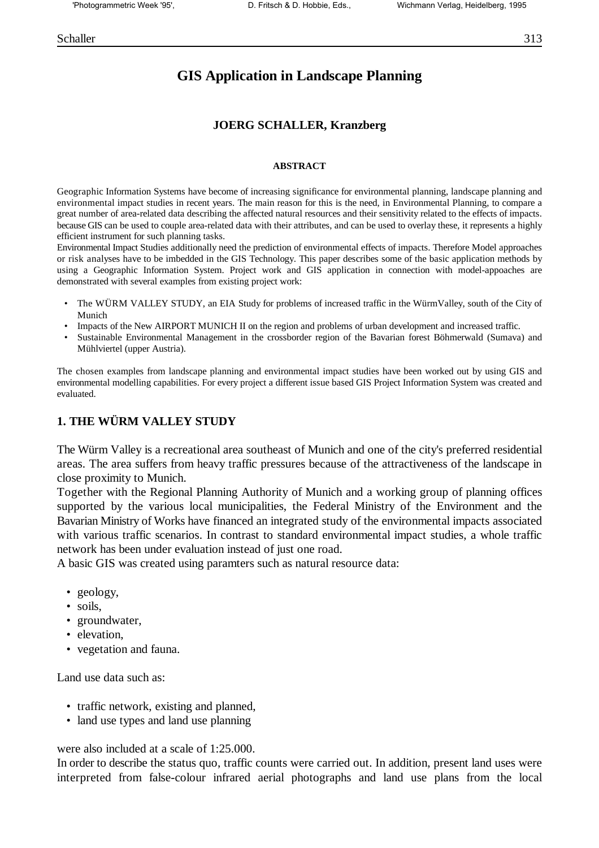# **GIS Application in Landscape Planning**

#### **JOERG SCHALLER, Kranzberg**

#### **ABSTRACT**

Geographic Information Systems have become of increasing significance for environmental planning, landscape planning and environmental impact studies in recent years. The main reason for this is the need, in Environmental Planning, to compare a great number of area-related data describing the affected natural resources and their sensitivity related to the effects of impacts. because GIS can be used to couple area-related data with their attributes, and can be used to overlay these, it represents a highly efficient instrument for such planning tasks.

Environmental Impact Studies additionally need the prediction of environmental effects of impacts. Therefore Model approaches or risk analyses have to be imbedded in the GIS Technology. This paper describes some of the basic application methods by using a Geographic Information System. Project work and GIS application in connection with model-appoaches are demonstrated with several examples from existing project work:

- The WÜRM VALLEY STUDY, an EIA Study for problems of increased traffic in the WürmValley, south of the City of Munich
- Impacts of the New AIRPORT MUNICH II on the region and problems of urban development and increased traffic.
- Sustainable Environmental Management in the crossborder region of the Bavarian forest Böhmerwald (Sumava) and Mühlviertel (upper Austria).

The chosen examples from landscape planning and environmental impact studies have been worked out by using GIS and environmental modelling capabilities. For every project a different issue based GIS Project Information System was created and evaluated.

#### **1. THE WÜRM VALLEY STUDY**

The Würm Valley is a recreational area southeast of Munich and one of the city's preferred residential areas. The area suffers from heavy traffic pressures because of the attractiveness of the landscape in close proximity to Munich.

Together with the Regional Planning Authority of Munich and a working group of planning offices supported by the various local municipalities, the Federal Ministry of the Environment and the Bavarian Ministry of Works have financed an integrated study of the environmental impacts associated with various traffic scenarios. In contrast to standard environmental impact studies, a whole traffic network has been under evaluation instead of just one road.

A basic GIS was created using paramters such as natural resource data:

- geology,
- soils,
- groundwater,
- elevation.
- vegetation and fauna.

Land use data such as:

- traffic network, existing and planned,
- land use types and land use planning

were also included at a scale of 1:25.000.

In order to describe the status quo, traffic counts were carried out. In addition, present land uses were interpreted from false-colour infrared aerial photographs and land use plans from the local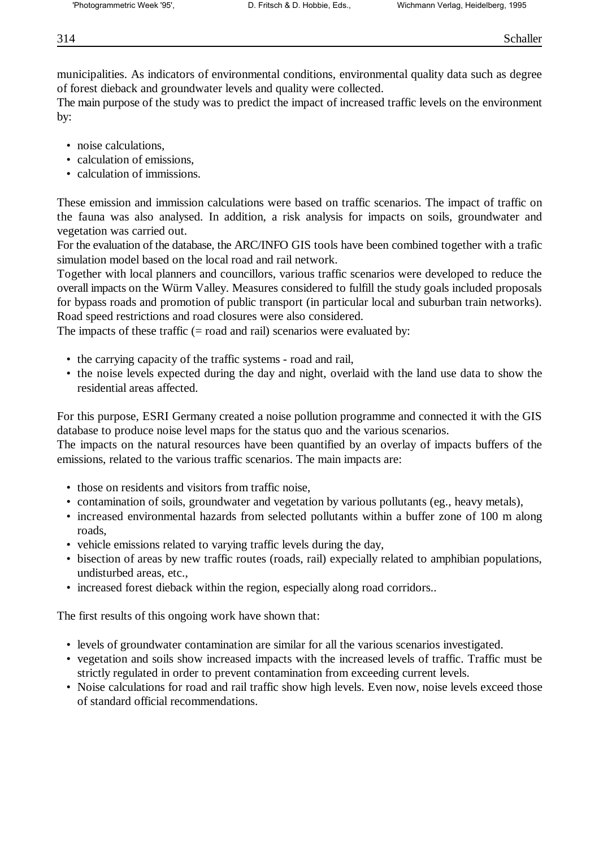municipalities. As indicators of environmental conditions, environmental quality data such as degree of forest dieback and groundwater levels and quality were collected.

The main purpose of the study was to predict the impact of increased traffic levels on the environment by:

- noise calculations.
- calculation of emissions,
- calculation of immissions.

These emission and immission calculations were based on traffic scenarios. The impact of traffic on the fauna was also analysed. In addition, a risk analysis for impacts on soils, groundwater and vegetation was carried out.

For the evaluation of the database, the ARC/INFO GIS tools have been combined together with a trafic simulation model based on the local road and rail network.

Together with local planners and councillors, various traffic scenarios were developed to reduce the overall impacts on the Würm Valley. Measures considered to fulfill the study goals included proposals for bypass roads and promotion of public transport (in particular local and suburban train networks). Road speed restrictions and road closures were also considered.

The impacts of these traffic  $(= \text{road and rail})$  scenarios were evaluated by:

- the carrying capacity of the traffic systems road and rail,
- the noise levels expected during the day and night, overlaid with the land use data to show the residential areas affected.

For this purpose, ESRI Germany created a noise pollution programme and connected it with the GIS database to produce noise level maps for the status quo and the various scenarios.

The impacts on the natural resources have been quantified by an overlay of impacts buffers of the emissions, related to the various traffic scenarios. The main impacts are:

- those on residents and visitors from traffic noise,
- contamination of soils, groundwater and vegetation by various pollutants (eg., heavy metals),
- increased environmental hazards from selected pollutants within a buffer zone of 100 m along roads,
- vehicle emissions related to varying traffic levels during the day,
- bisection of areas by new traffic routes (roads, rail) expecially related to amphibian populations, undisturbed areas, etc.,
- increased forest dieback within the region, especially along road corridors..

The first results of this ongoing work have shown that:

- levels of groundwater contamination are similar for all the various scenarios investigated.
- vegetation and soils show increased impacts with the increased levels of traffic. Traffic must be strictly regulated in order to prevent contamination from exceeding current levels.
- Noise calculations for road and rail traffic show high levels. Even now, noise levels exceed those of standard official recommendations.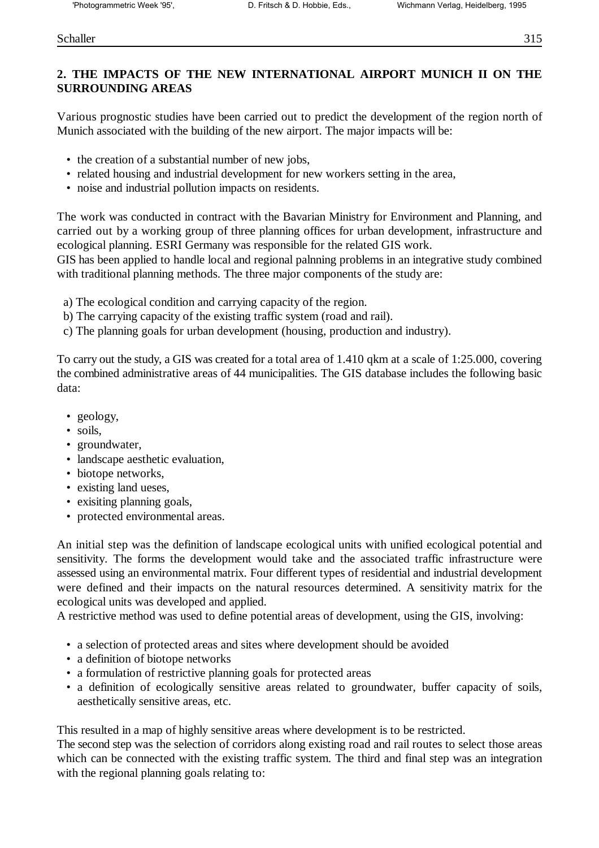#### Schaller 315

# **2. THE IMPACTS OF THE NEW INTERNATIONAL AIRPORT MUNICH II ON THE SURROUNDING AREAS**

Various prognostic studies have been carried out to predict the development of the region north of Munich associated with the building of the new airport. The major impacts will be:

- the creation of a substantial number of new jobs,
- related housing and industrial development for new workers setting in the area,
- noise and industrial pollution impacts on residents.

The work was conducted in contract with the Bavarian Ministry for Environment and Planning, and carried out by a working group of three planning offices for urban development, infrastructure and ecological planning. ESRI Germany was responsible for the related GIS work.

GIS has been applied to handle local and regional palnning problems in an integrative study combined with traditional planning methods. The three major components of the study are:

- a) The ecological condition and carrying capacity of the region.
- b) The carrying capacity of the existing traffic system (road and rail).
- c) The planning goals for urban development (housing, production and industry).

To carry out the study, a GIS was created for a total area of 1.410 qkm at a scale of 1:25.000, covering the combined administrative areas of 44 municipalities. The GIS database includes the following basic data:

- geology,
- soils,
- groundwater,
- landscape aesthetic evaluation.
- biotope networks,
- existing land ueses,
- exisiting planning goals,
- protected environmental areas.

An initial step was the definition of landscape ecological units with unified ecological potential and sensitivity. The forms the development would take and the associated traffic infrastructure were assessed using an environmental matrix. Four different types of residential and industrial development were defined and their impacts on the natural resources determined. A sensitivity matrix for the ecological units was developed and applied.

A restrictive method was used to define potential areas of development, using the GIS, involving:

- a selection of protected areas and sites where development should be avoided
- a definition of biotope networks
- a formulation of restrictive planning goals for protected areas
- a definition of ecologically sensitive areas related to groundwater, buffer capacity of soils, aesthetically sensitive areas, etc.

This resulted in a map of highly sensitive areas where development is to be restricted.

The second step was the selection of corridors along existing road and rail routes to select those areas which can be connected with the existing traffic system. The third and final step was an integration with the regional planning goals relating to: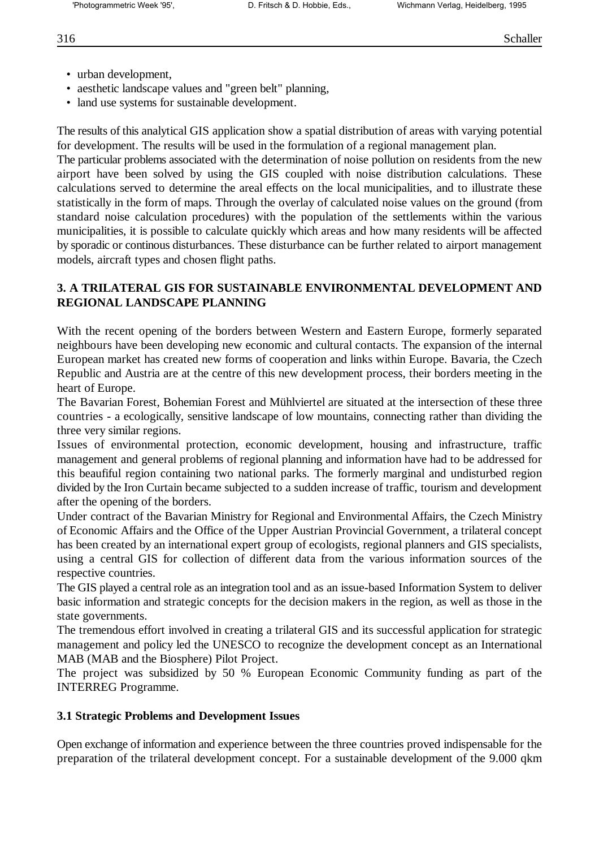- urban development.
- aesthetic landscape values and "green belt" planning,
- land use systems for sustainable development.

The results of this analytical GIS application show a spatial distribution of areas with varying potential for development. The results will be used in the formulation of a regional management plan.

The particular problems associated with the determination of noise pollution on residents from the new airport have been solved by using the GIS coupled with noise distribution calculations. These calculations served to determine the areal effects on the local municipalities, and to illustrate these statistically in the form of maps. Through the overlay of calculated noise values on the ground (from standard noise calculation procedures) with the population of the settlements within the various municipalities, it is possible to calculate quickly which areas and how many residents will be affected by sporadic or continous disturbances. These disturbance can be further related to airport management models, aircraft types and chosen flight paths.

## **3. A TRILATERAL GIS FOR SUSTAINABLE ENVIRONMENTAL DEVELOPMENT AND REGIONAL LANDSCAPE PLANNING**

With the recent opening of the borders between Western and Eastern Europe, formerly separated neighbours have been developing new economic and cultural contacts. The expansion of the internal European market has created new forms of cooperation and links within Europe. Bavaria, the Czech Republic and Austria are at the centre of this new development process, their borders meeting in the heart of Europe.

The Bavarian Forest, Bohemian Forest and Mühlviertel are situated at the intersection of these three countries - a ecologically, sensitive landscape of low mountains, connecting rather than dividing the three very similar regions.

Issues of environmental protection, economic development, housing and infrastructure, traffic management and general problems of regional planning and information have had to be addressed for this beaufiful region containing two national parks. The formerly marginal and undisturbed region divided by the Iron Curtain became subjected to a sudden increase of traffic, tourism and development after the opening of the borders.

Under contract of the Bavarian Ministry for Regional and Environmental Affairs, the Czech Ministry of Economic Affairs and the Office of the Upper Austrian Provincial Government, a trilateral concept has been created by an international expert group of ecologists, regional planners and GIS specialists, using a central GIS for collection of different data from the various information sources of the respective countries.

The GIS played a central role as an integration tool and as an issue-based Information System to deliver basic information and strategic concepts for the decision makers in the region, as well as those in the state governments.

The tremendous effort involved in creating a trilateral GIS and its successful application for strategic management and policy led the UNESCO to recognize the development concept as an International MAB (MAB and the Biosphere) Pilot Project.

The project was subsidized by 50 % European Economic Community funding as part of the INTERREG Programme.

## **3.1 Strategic Problems and Development Issues**

Open exchange of information and experience between the three countries proved indispensable for the preparation of the trilateral development concept. For a sustainable development of the 9.000 qkm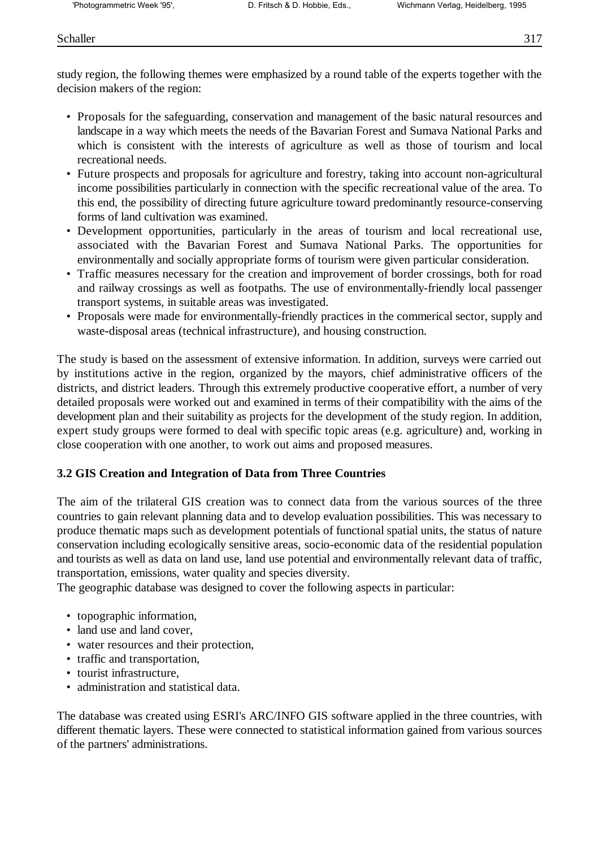#### Schaller 317

study region, the following themes were emphasized by a round table of the experts together with the decision makers of the region:

- Proposals for the safeguarding, conservation and management of the basic natural resources and landscape in a way which meets the needs of the Bavarian Forest and Sumava National Parks and which is consistent with the interests of agriculture as well as those of tourism and local recreational needs.
- Future prospects and proposals for agriculture and forestry, taking into account non-agricultural income possibilities particularly in connection with the specific recreational value of the area. To this end, the possibility of directing future agriculture toward predominantly resource-conserving forms of land cultivation was examined.
- Development opportunities, particularly in the areas of tourism and local recreational use, associated with the Bavarian Forest and Sumava National Parks. The opportunities for environmentally and socially appropriate forms of tourism were given particular consideration.
- Traffic measures necessary for the creation and improvement of border crossings, both for road and railway crossings as well as footpaths. The use of environmentally-friendly local passenger transport systems, in suitable areas was investigated.
- Proposals were made for environmentally-friendly practices in the commerical sector, supply and waste-disposal areas (technical infrastructure), and housing construction.

The study is based on the assessment of extensive information. In addition, surveys were carried out by institutions active in the region, organized by the mayors, chief administrative officers of the districts, and district leaders. Through this extremely productive cooperative effort, a number of very detailed proposals were worked out and examined in terms of their compatibility with the aims of the development plan and their suitability as projects for the development of the study region. In addition, expert study groups were formed to deal with specific topic areas (e.g. agriculture) and, working in close cooperation with one another, to work out aims and proposed measures.

## **3.2 GIS Creation and Integration of Data from Three Countries**

The aim of the trilateral GIS creation was to connect data from the various sources of the three countries to gain relevant planning data and to develop evaluation possibilities. This was necessary to produce thematic maps such as development potentials of functional spatial units, the status of nature conservation including ecologically sensitive areas, socio-economic data of the residential population and tourists as well as data on land use, land use potential and environmentally relevant data of traffic, transportation, emissions, water quality and species diversity.

The geographic database was designed to cover the following aspects in particular:

- topographic information,
- land use and land cover,
- water resources and their protection,
- traffic and transportation,
- tourist infrastructure,
- administration and statistical data.

The database was created using ESRI's ARC/INFO GIS software applied in the three countries, with different thematic layers. These were connected to statistical information gained from various sources of the partners' administrations.